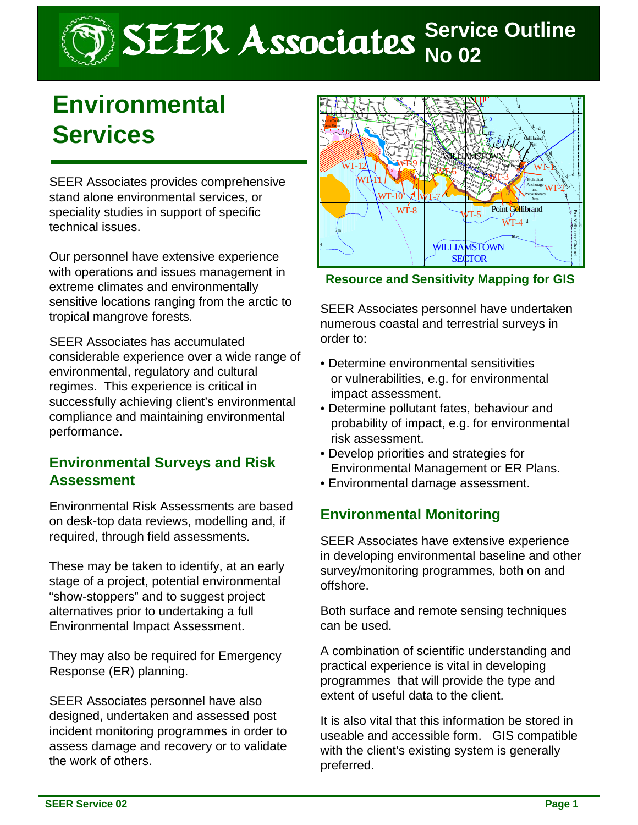# SEER Associates **Service Outline**

## **Environmental Services**

SEER Associates provides comprehensive stand alone environmental services, or speciality studies in support of specific technical issues.

Our personnel have extensive experience with operations and issues management in extreme climates and environmentally sensitive locations ranging from the arctic to tropical mangrove forests.

SEER Associates has accumulated considerable experience over a wide range of environmental, regulatory and cultural regimes. This experience is critical in successfully achieving client's environmental compliance and maintaining environmental performance.

#### **Environmental Surveys and Risk Assessment**

Environmental Risk Assessments are based on desk-top data reviews, modelling and, if required, through field assessments.

These may be taken to identify, at an early stage of a project, potential environmental "show-stoppers" and to suggest project alternatives prior to undertaking a full Environmental Impact Assessment.

They may also be required for Emergency Response (ER) planning.

SEER Associates personnel have also designed, undertaken and assessed post incident monitoring programmes in order to assess damage and recovery or to validate the work of others.



**Resource and Sensitivity Mapping for GIS**

SEER Associates personnel have undertaken numerous coastal and terrestrial surveys in order to:

- Determine environmental sensitivities or vulnerabilities, e.g. for environmental impact assessment.
- Determine pollutant fates, behaviour and probability of impact, e.g. for environmental risk assessment.
- Develop priorities and strategies for Environmental Management or ER Plans.
- Environmental damage assessment.

### **Environmental Monitoring**

SEER Associates have extensive experience in developing environmental baseline and other survey/monitoring programmes, both on and offshore.

Both surface and remote sensing techniques can be used.

A combination of scientific understanding and practical experience is vital in developing programmes that will provide the type and extent of useful data to the client.

It is also vital that this information be stored in useable and accessible form. GIS compatible with the client's existing system is generally preferred.